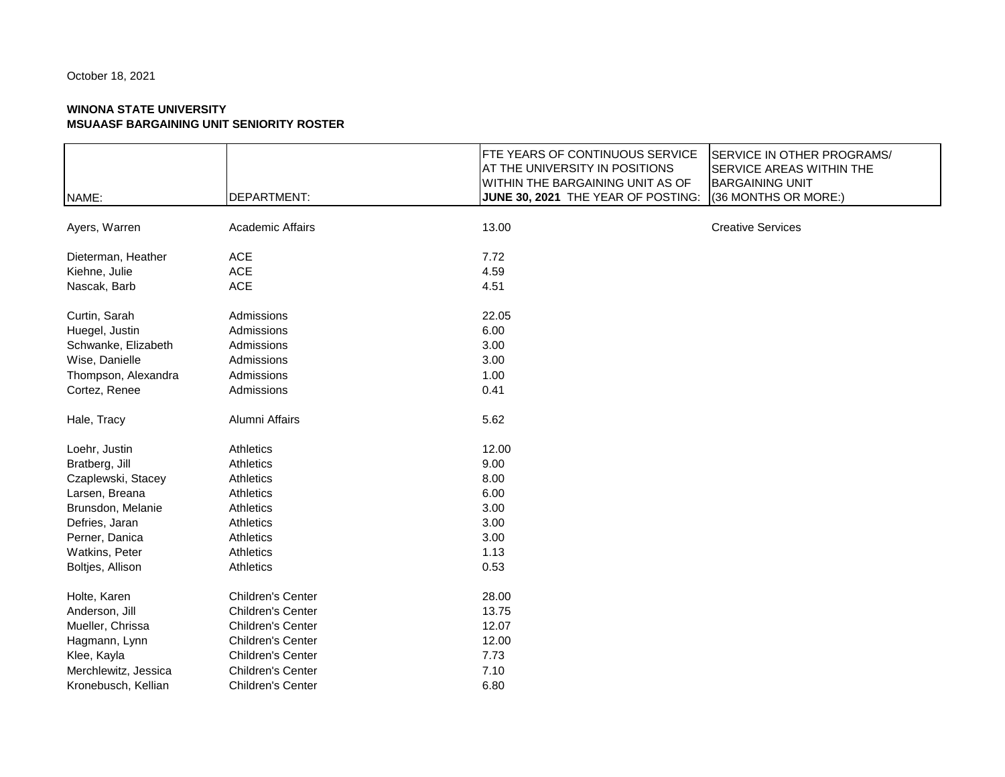|                      |                   | FTE YEARS OF CONTINUOUS SERVICE<br>SERVICE IN OTHER PROGRAMS/     |  |
|----------------------|-------------------|-------------------------------------------------------------------|--|
|                      |                   | AT THE UNIVERSITY IN POSITIONS<br><b>SERVICE AREAS WITHIN THE</b> |  |
|                      |                   | <b>WITHIN THE BARGAINING UNIT AS OF</b><br><b>BARGAINING UNIT</b> |  |
| NAME:                | DEPARTMENT:       | (36 MONTHS OR MORE:)<br>JUNE 30, 2021 THE YEAR OF POSTING:        |  |
| Ayers, Warren        | Academic Affairs  | 13.00<br><b>Creative Services</b>                                 |  |
|                      |                   |                                                                   |  |
| Dieterman, Heather   | <b>ACE</b>        | 7.72                                                              |  |
| Kiehne, Julie        | <b>ACE</b>        | 4.59                                                              |  |
| Nascak, Barb         | <b>ACE</b>        | 4.51                                                              |  |
| Curtin, Sarah        | Admissions        | 22.05                                                             |  |
| Huegel, Justin       | Admissions        | 6.00                                                              |  |
| Schwanke, Elizabeth  | Admissions        | 3.00                                                              |  |
| Wise, Danielle       | Admissions        | 3.00                                                              |  |
| Thompson, Alexandra  | Admissions        | 1.00                                                              |  |
| Cortez, Renee        | Admissions        | 0.41                                                              |  |
| Hale, Tracy          | Alumni Affairs    | 5.62                                                              |  |
| Loehr, Justin        | Athletics         | 12.00                                                             |  |
| Bratberg, Jill       | Athletics         | 9.00                                                              |  |
| Czaplewski, Stacey   | Athletics         | 8.00                                                              |  |
| Larsen, Breana       | Athletics         | 6.00                                                              |  |
| Brunsdon, Melanie    | Athletics         | 3.00                                                              |  |
| Defries, Jaran       | Athletics         | 3.00                                                              |  |
| Perner, Danica       | Athletics         | 3.00                                                              |  |
| Watkins, Peter       | Athletics         | 1.13                                                              |  |
| Boltjes, Allison     | Athletics         | 0.53                                                              |  |
| Holte, Karen         | Children's Center | 28.00                                                             |  |
| Anderson, Jill       | Children's Center | 13.75                                                             |  |
| Mueller, Chrissa     | Children's Center | 12.07                                                             |  |
| Hagmann, Lynn        | Children's Center | 12.00                                                             |  |
| Klee, Kayla          | Children's Center | 7.73                                                              |  |
| Merchlewitz, Jessica | Children's Center | 7.10                                                              |  |
| Kronebusch, Kellian  | Children's Center | 6.80                                                              |  |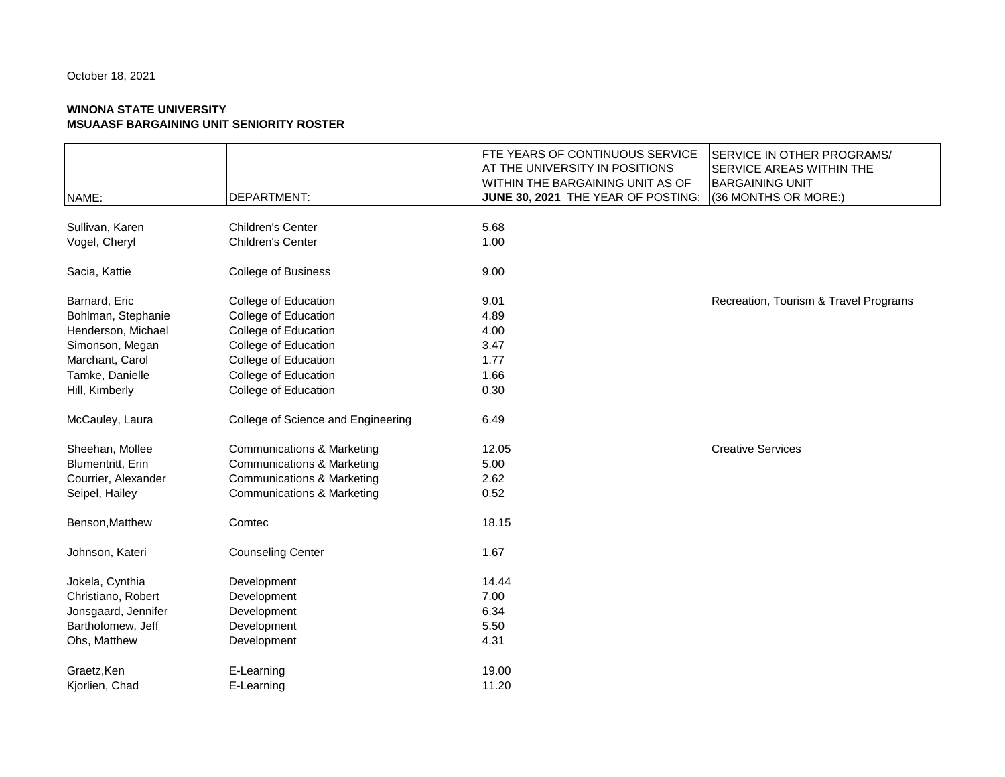|                     |                                       | FTE YEARS OF CONTINUOUS SERVICE    | SERVICE IN OTHER PROGRAMS/            |
|---------------------|---------------------------------------|------------------------------------|---------------------------------------|
|                     |                                       | AT THE UNIVERSITY IN POSITIONS     | SERVICE AREAS WITHIN THE              |
|                     |                                       | WITHIN THE BARGAINING UNIT AS OF   | <b>BARGAINING UNIT</b>                |
| NAME:               | DEPARTMENT:                           | JUNE 30, 2021 THE YEAR OF POSTING: | (36 MONTHS OR MORE:)                  |
| Sullivan, Karen     | Children's Center                     | 5.68                               |                                       |
| Vogel, Cheryl       | Children's Center                     | 1.00                               |                                       |
|                     |                                       |                                    |                                       |
| Sacia, Kattie       | College of Business                   | 9.00                               |                                       |
| Barnard, Eric       | College of Education                  | 9.01                               | Recreation, Tourism & Travel Programs |
| Bohlman, Stephanie  | College of Education                  | 4.89                               |                                       |
| Henderson, Michael  | College of Education                  | 4.00                               |                                       |
| Simonson, Megan     | College of Education                  | 3.47                               |                                       |
| Marchant, Carol     | College of Education                  | 1.77                               |                                       |
| Tamke, Danielle     | College of Education                  | 1.66                               |                                       |
| Hill, Kimberly      | College of Education                  | 0.30                               |                                       |
| McCauley, Laura     | College of Science and Engineering    | 6.49                               |                                       |
| Sheehan, Mollee     | <b>Communications &amp; Marketing</b> | 12.05                              | <b>Creative Services</b>              |
| Blumentritt, Erin   | <b>Communications &amp; Marketing</b> | 5.00                               |                                       |
| Courrier, Alexander | <b>Communications &amp; Marketing</b> | 2.62                               |                                       |
| Seipel, Hailey      | <b>Communications &amp; Marketing</b> | 0.52                               |                                       |
| Benson, Matthew     | Comtec                                | 18.15                              |                                       |
| Johnson, Kateri     | <b>Counseling Center</b>              | 1.67                               |                                       |
| Jokela, Cynthia     | Development                           | 14.44                              |                                       |
| Christiano, Robert  | Development                           | 7.00                               |                                       |
| Jonsgaard, Jennifer | Development                           | 6.34                               |                                       |
| Bartholomew, Jeff   | Development                           | 5.50                               |                                       |
| Ohs, Matthew        | Development                           | 4.31                               |                                       |
| Graetz, Ken         | E-Learning                            | 19.00                              |                                       |
| Kjorlien, Chad      | E-Learning                            | 11.20                              |                                       |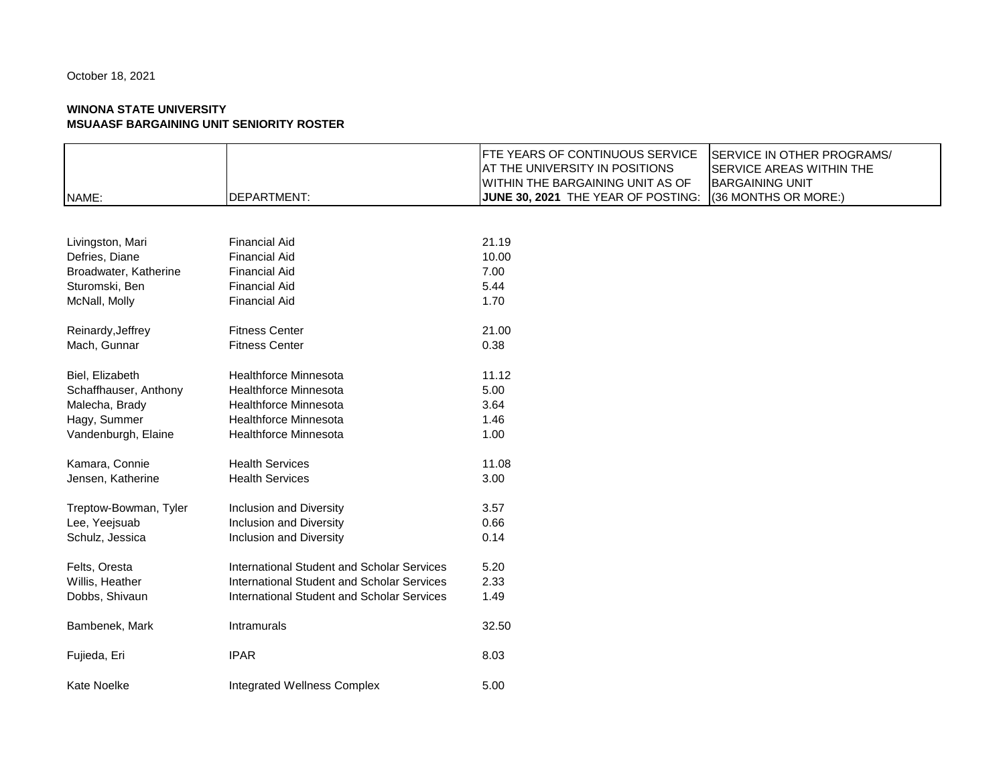# **WINONA STATE UNIVERSITY**

| <b>MSUAASF BARGAINING UNIT SENIORITY ROSTER</b> |                              |                                                                                                                                                                                                                                                                              |  |
|-------------------------------------------------|------------------------------|------------------------------------------------------------------------------------------------------------------------------------------------------------------------------------------------------------------------------------------------------------------------------|--|
| NAME:                                           | <b>DEPARTMENT:</b>           | <b>FTE YEARS OF CONTINUOUS SERVICE</b><br><b>SERVICE IN OTHER PROGRAMS/</b><br>AT THE UNIVERSITY IN POSITIONS<br><b>SERVICE AREAS WITHIN THE</b><br>WITHIN THE BARGAINING UNIT AS OF<br><b>BARGAINING UNIT</b><br>(36 MONTHS OR MORE:)<br>JUNE 30, 2021 THE YEAR OF POSTING: |  |
|                                                 |                              |                                                                                                                                                                                                                                                                              |  |
| Livingston, Mari                                | <b>Financial Aid</b>         | 21.19                                                                                                                                                                                                                                                                        |  |
| Defries, Diane                                  | <b>Financial Aid</b>         | 10.00                                                                                                                                                                                                                                                                        |  |
| Broadwater, Katherine                           | <b>Financial Aid</b>         | 7.00                                                                                                                                                                                                                                                                         |  |
| Sturomski, Ben                                  | <b>Financial Aid</b>         | 5.44                                                                                                                                                                                                                                                                         |  |
| McNall, Molly                                   | <b>Financial Aid</b>         | 1.70                                                                                                                                                                                                                                                                         |  |
| Reinardy, Jeffrey                               | <b>Fitness Center</b>        | 21.00                                                                                                                                                                                                                                                                        |  |
| Mach, Gunnar                                    | <b>Fitness Center</b>        | 0.38                                                                                                                                                                                                                                                                         |  |
| Biel, Elizabeth                                 | <b>Healthforce Minnesota</b> | 11.12                                                                                                                                                                                                                                                                        |  |
| Schaffhauser, Anthony                           | <b>Healthforce Minnesota</b> | 5.00                                                                                                                                                                                                                                                                         |  |
| Malecha, Brady                                  | Healthforce Minnesota        | 3.64                                                                                                                                                                                                                                                                         |  |
| Hagy, Summer                                    | <b>Healthforce Minnesota</b> | 1.46                                                                                                                                                                                                                                                                         |  |
| Vandenburgh, Elaine                             | <b>Healthforce Minnesota</b> | 1.00                                                                                                                                                                                                                                                                         |  |
| Kamara, Connie                                  | <b>Health Services</b>       | 11.08                                                                                                                                                                                                                                                                        |  |
| Jensen, Katherine                               | <b>Health Services</b>       | 3.00                                                                                                                                                                                                                                                                         |  |
| Treptow-Bowman, Tyler                           | Inclusion and Diversity      | 3.57                                                                                                                                                                                                                                                                         |  |
| Lee, Yeejsuab                                   | Inclusion and Diversity      | 0.66                                                                                                                                                                                                                                                                         |  |
| Schulz, Jessica                                 | Inclusion and Diversity      | 0.14                                                                                                                                                                                                                                                                         |  |
|                                                 |                              |                                                                                                                                                                                                                                                                              |  |

Felts, Oresta International Student and Scholar Services 5.20 Willis, Heather **International Student and Scholar Services** 2.33 Dobbs, Shivaun International Student and Scholar Services 1.49 Bambenek, Mark **Intramurals** 11.500 mm and 12.50 Fujieda, Eri 8.03 Kate Noelke **Integrated Wellness Complex** 5.00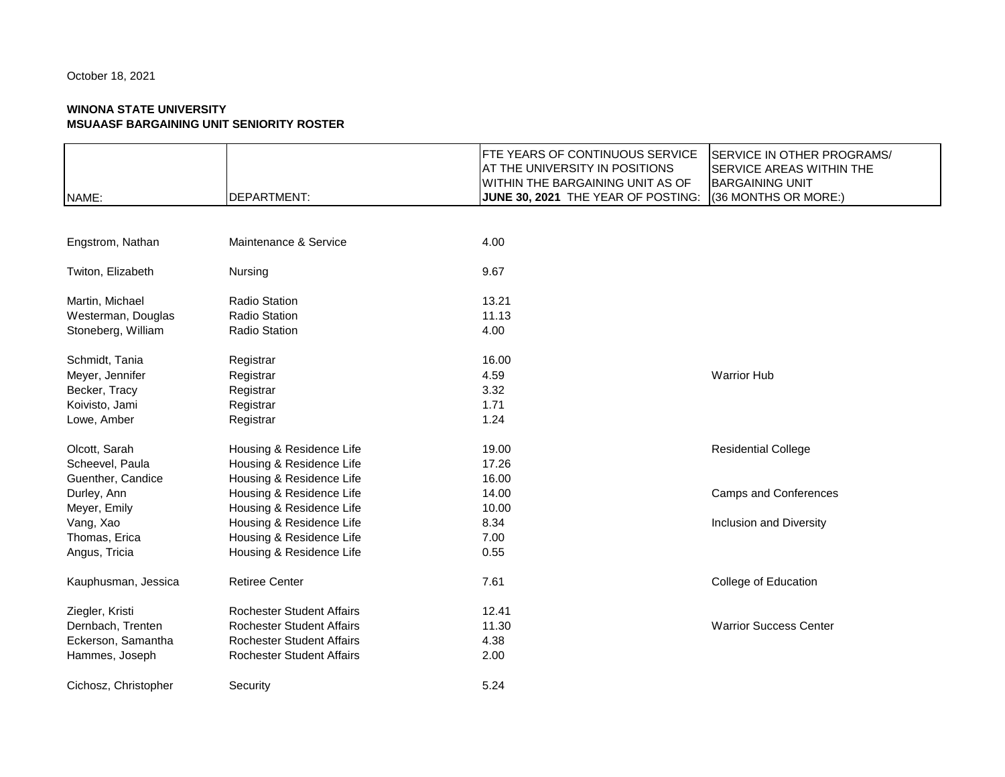|                      |                                  | FTE YEARS OF CONTINUOUS SERVICE    | <b>SERVICE IN OTHER PROGRAMS/</b> |
|----------------------|----------------------------------|------------------------------------|-----------------------------------|
|                      |                                  | AT THE UNIVERSITY IN POSITIONS     | <b>SERVICE AREAS WITHIN THE</b>   |
|                      |                                  | WITHIN THE BARGAINING UNIT AS OF   | <b>BARGAINING UNIT</b>            |
| NAME:                | <b>DEPARTMENT:</b>               | JUNE 30, 2021 THE YEAR OF POSTING: | (36 MONTHS OR MORE:)              |
|                      |                                  |                                    |                                   |
|                      |                                  |                                    |                                   |
| Engstrom, Nathan     | Maintenance & Service            | 4.00                               |                                   |
| Twiton, Elizabeth    | Nursing                          | 9.67                               |                                   |
| Martin, Michael      | <b>Radio Station</b>             | 13.21                              |                                   |
| Westerman, Douglas   | <b>Radio Station</b>             | 11.13                              |                                   |
| Stoneberg, William   | <b>Radio Station</b>             | 4.00                               |                                   |
|                      |                                  |                                    |                                   |
| Schmidt, Tania       | Registrar                        | 16.00                              |                                   |
| Meyer, Jennifer      | Registrar                        | 4.59                               | <b>Warrior Hub</b>                |
| Becker, Tracy        | Registrar                        | 3.32                               |                                   |
| Koivisto, Jami       | Registrar                        | 1.71                               |                                   |
| Lowe, Amber          | Registrar                        | 1.24                               |                                   |
| Olcott, Sarah        | Housing & Residence Life         | 19.00                              | <b>Residential College</b>        |
| Scheevel, Paula      | Housing & Residence Life         | 17.26                              |                                   |
| Guenther, Candice    | Housing & Residence Life         | 16.00                              |                                   |
| Durley, Ann          | Housing & Residence Life         | 14.00                              | <b>Camps and Conferences</b>      |
| Meyer, Emily         | Housing & Residence Life         | 10.00                              |                                   |
| Vang, Xao            | Housing & Residence Life         | 8.34                               | Inclusion and Diversity           |
| Thomas, Erica        | Housing & Residence Life         | 7.00                               |                                   |
| Angus, Tricia        | Housing & Residence Life         | 0.55                               |                                   |
| Kauphusman, Jessica  | <b>Retiree Center</b>            | 7.61                               | College of Education              |
| Ziegler, Kristi      | <b>Rochester Student Affairs</b> | 12.41                              |                                   |
| Dernbach, Trenten    | <b>Rochester Student Affairs</b> | 11.30                              | <b>Warrior Success Center</b>     |
| Eckerson, Samantha   | <b>Rochester Student Affairs</b> | 4.38                               |                                   |
| Hammes, Joseph       | Rochester Student Affairs        | 2.00                               |                                   |
| Cichosz, Christopher | Security                         | 5.24                               |                                   |